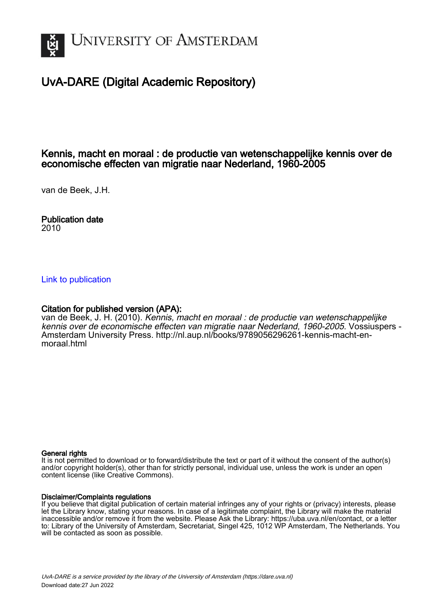

# UvA-DARE (Digital Academic Repository)

# Kennis, macht en moraal : de productie van wetenschappelijke kennis over de economische effecten van migratie naar Nederland, 1960-2005

van de Beek, J.H.

Publication date 2010

## [Link to publication](https://dare.uva.nl/personal/pure/en/publications/kennis-macht-en-moraal--de-productie-van-wetenschappelijke-kennis-over-de-economische-effecten-van-migratie-naar-nederland-19602005(839e6fe4-90a4-4cc5-b465-18f12ea75f9b).html)

# Citation for published version (APA):

van de Beek, J. H. (2010). Kennis, macht en moraal : de productie van wetenschappelijke kennis over de economische effecten van migratie naar Nederland, 1960-2005. Vossiuspers - Amsterdam University Press. [http://nl.aup.nl/books/9789056296261-kennis-macht-en](http://nl.aup.nl/books/9789056296261-kennis-macht-en-moraal.html)[moraal.html](http://nl.aup.nl/books/9789056296261-kennis-macht-en-moraal.html)

#### General rights

It is not permitted to download or to forward/distribute the text or part of it without the consent of the author(s) and/or copyright holder(s), other than for strictly personal, individual use, unless the work is under an open content license (like Creative Commons).

#### Disclaimer/Complaints regulations

If you believe that digital publication of certain material infringes any of your rights or (privacy) interests, please let the Library know, stating your reasons. In case of a legitimate complaint, the Library will make the material inaccessible and/or remove it from the website. Please Ask the Library: https://uba.uva.nl/en/contact, or a letter to: Library of the University of Amsterdam, Secretariat, Singel 425, 1012 WP Amsterdam, The Netherlands. You will be contacted as soon as possible.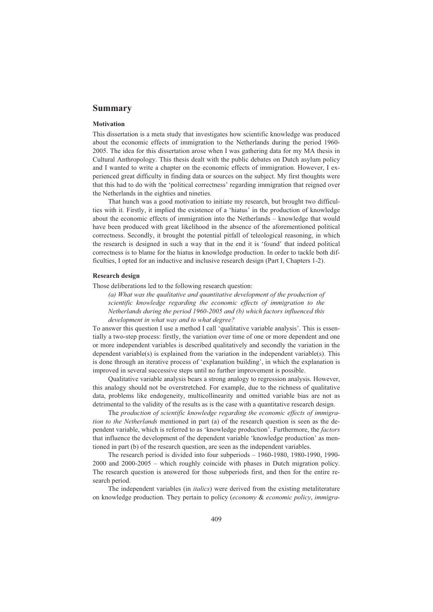## **Summary**

#### **Motivation**

This dissertation is a meta study that investigates how scientific knowledge was produced about the economic effects of immigration to the Netherlands during the period 1960- 2005. The idea for this dissertation arose when I was gathering data for my MA thesis in Cultural Anthropology. This thesis dealt with the public debates on Dutch asylum policy and I wanted to write a chapter on the economic effects of immigration. However, I experienced great difficulty in finding data or sources on the subject. My first thoughts were that this had to do with the 'political correctness' regarding immigration that reigned over the Netherlands in the eighties and nineties.

That hunch was a good motivation to initiate my research, but brought two difficulties with it. Firstly, it implied the existence of a 'hiatus' in the production of knowledge about the economic effects of immigration into the Netherlands – knowledge that would have been produced with great likelihood in the absence of the aforementioned political correctness. Secondly, it brought the potential pitfall of teleological reasoning, in which the research is designed in such a way that in the end it is 'found' that indeed political correctness is to blame for the hiatus in knowledge production. In order to tackle both difficulties, I opted for an inductive and inclusive research design (Part I, Chapters 1-2).

#### **Research design**

Those deliberations led to the following research question:

*(a) What was the qualitative and quantitative development of the production of scientific knowledge regarding the economic effects of immigration to the Netherlands during the period 1960-2005 and (b) which factors influenced this development in what way and to what degree?* 

To answer this question I use a method I call 'qualitative variable analysis'. This is essentially a two-step process: firstly, the variation over time of one or more dependent and one or more independent variables is described qualitatively and secondly the variation in the dependent variable(s) is explained from the variation in the independent variable(s). This is done through an iterative process of 'explanation building', in which the explanation is improved in several successive steps until no further improvement is possible.

Qualitative variable analysis bears a strong analogy to regression analysis. However, this analogy should not be overstretched. For example, due to the richness of qualitative data, problems like endogeneity, multicollinearity and omitted variable bias are not as detrimental to the validity of the results as is the case with a quantitative research design.

The *production of scientific knowledge regarding the economic effects of immigration to the Netherlands* mentioned in part (a) of the research question is seen as the dependent variable, which is referred to as 'knowledge production'. Furthermore, the *factors* that influence the development of the dependent variable 'knowledge production' as mentioned in part (b) of the research question, are seen as the independent variables.

The research period is divided into four subperiods – 1960-1980, 1980-1990, 1990- 2000 and 2000-2005 – which roughly coincide with phases in Dutch migration policy. The research question is answered for those subperiods first, and then for the entire research period.

The independent variables (in *italics*) were derived from the existing metaliterature on knowledge production. They pertain to policy (*economy* & *economic policy*, *immigra-*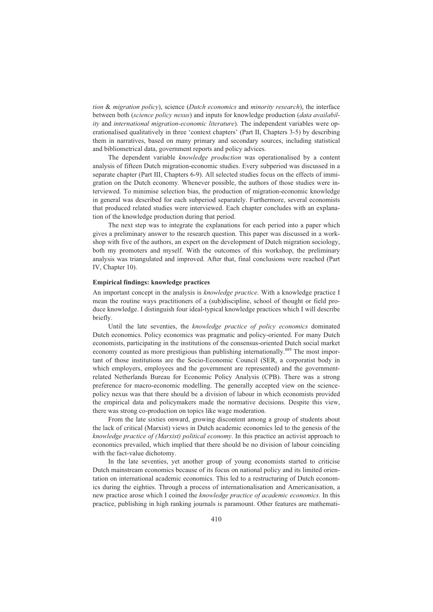*tion* & *migration policy*), science (*Dutch economics* and *minority research*), the interface between both (*science policy nexus*) and inputs for knowledge production (*data availability* and *international migration-economic literature*). The independent variables were operationalised qualitatively in three 'context chapters' (Part II, Chapters 3-5) by describing them in narratives, based on many primary and secondary sources, including statistical and bibliometrical data, government reports and policy advices.

The dependent variable *knowledge production* was operationalised by a content analysis of fifteen Dutch migration-economic studies. Every subperiod was discussed in a separate chapter (Part III, Chapters 6-9). All selected studies focus on the effects of immigration on the Dutch economy. Whenever possible, the authors of those studies were interviewed. To minimise selection bias, the production of migration-economic knowledge in general was described for each subperiod separately. Furthermore, several economists that produced related studies were interviewed. Each chapter concludes with an explanation of the knowledge production during that period.

The next step was to integrate the explanations for each period into a paper which gives a preliminary answer to the research question. This paper was discussed in a workshop with five of the authors, an expert on the development of Dutch migration sociology, both my promoters and myself. With the outcomes of this workshop, the preliminary analysis was triangulated and improved. After that, final conclusions were reached (Part IV, Chapter 10).

#### **Empirical findings: knowledge practices**

An important concept in the analysis is *knowledge practice*. With a knowledge practice I mean the routine ways practitioners of a (sub)discipline, school of thought or field produce knowledge. I distinguish four ideal-typical knowledge practices which I will describe briefly.

Until the late seventies, the *knowledge practice of policy economics* dominated Dutch economics. Policy economics was pragmatic and policy-oriented. For many Dutch economists, participating in the institutions of the consensus-oriented Dutch social market economy counted as more prestigious than publishing internationally.<sup>889</sup> The most important of those institutions are the Socio-Economic Council (SER, a corporatist body in which employers, employees and the government are represented) and the governmentrelated Netherlands Bureau for Economic Policy Analysis (CPB). There was a strong preference for macro-economic modelling. The generally accepted view on the sciencepolicy nexus was that there should be a division of labour in which economists provided the empirical data and policymakers made the normative decisions. Despite this view, there was strong co-production on topics like wage moderation.

From the late sixties onward, growing discontent among a group of students about the lack of critical (Marxist) views in Dutch academic economics led to the genesis of the *knowledge practice of (Marxist) political economy*. In this practice an activist approach to economics prevailed, which implied that there should be no division of labour coinciding with the fact-value dichotomy.

In the late seventies, yet another group of young economists started to criticise Dutch mainstream economics because of its focus on national policy and its limited orientation on international academic economics. This led to a restructuring of Dutch economics during the eighties. Through a process of internationalisation and Americanisation, a new practice arose which I coined the *knowledge practice of academic economics*. In this practice, publishing in high ranking journals is paramount. Other features are mathemati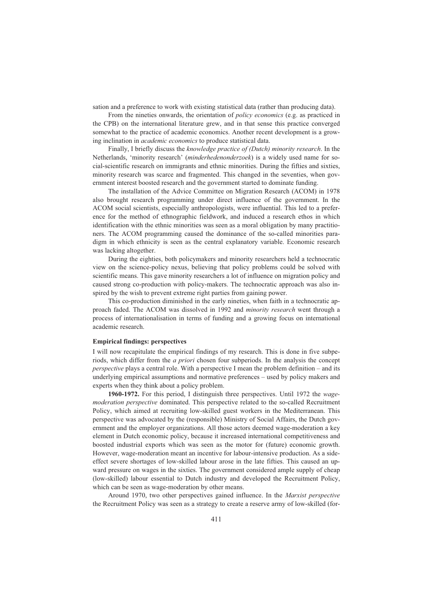sation and a preference to work with existing statistical data (rather than producing data).

From the nineties onwards, the orientation of *policy economics* (e.g. as practiced in the CPB) on the international literature grew, and in that sense this practice converged somewhat to the practice of academic economics. Another recent development is a growing inclination in *academic economics* to produce statistical data.

Finally, I briefly discuss the *knowledge practice of (Dutch) minority research*. In the Netherlands, 'minority research' (*minderhedenonderzoek*) is a widely used name for social-scientific research on immigrants and ethnic minorities. During the fifties and sixties, minority research was scarce and fragmented. This changed in the seventies, when government interest boosted research and the government started to dominate funding.

The installation of the Advice Committee on Migration Research (ACOM) in 1978 also brought research programming under direct influence of the government. In the ACOM social scientists, especially anthropologists, were influential. This led to a preference for the method of ethnographic fieldwork, and induced a research ethos in which identification with the ethnic minorities was seen as a moral obligation by many practitioners. The ACOM programming caused the dominance of the so-called minorities paradigm in which ethnicity is seen as the central explanatory variable. Economic research was lacking altogether.

During the eighties, both policymakers and minority researchers held a technocratic view on the science-policy nexus, believing that policy problems could be solved with scientific means. This gave minority researchers a lot of influence on migration policy and caused strong co-production with policy-makers. The technocratic approach was also inspired by the wish to prevent extreme right parties from gaining power.

This co-production diminished in the early nineties, when faith in a technocratic approach faded. The ACOM was dissolved in 1992 and *minority research* went through a process of internationalisation in terms of funding and a growing focus on international academic research.

#### **Empirical findings: perspectives**

I will now recapitulate the empirical findings of my research. This is done in five subperiods, which differ from the *a priori* chosen four subperiods. In the analysis the concept *perspective* plays a central role. With a perspective I mean the problem definition – and its underlying empirical assumptions and normative preferences – used by policy makers and experts when they think about a policy problem.

**1960-1972.** For this period, I distinguish three perspectives. Until 1972 the *wagemoderation perspective* dominated. This perspective related to the so-called Recruitment Policy, which aimed at recruiting low-skilled guest workers in the Mediterranean. This perspective was advocated by the (responsible) Ministry of Social Affairs, the Dutch government and the employer organizations. All those actors deemed wage-moderation a key element in Dutch economic policy, because it increased international competitiveness and boosted industrial exports which was seen as the motor for (future) economic growth. However, wage-moderation meant an incentive for labour-intensive production. As a sideeffect severe shortages of low-skilled labour arose in the late fifties. This caused an upward pressure on wages in the sixties. The government considered ample supply of cheap (low-skilled) labour essential to Dutch industry and developed the Recruitment Policy, which can be seen as wage-moderation by other means.

Around 1970, two other perspectives gained influence. In the *Marxist perspective*  the Recruitment Policy was seen as a strategy to create a reserve army of low-skilled (for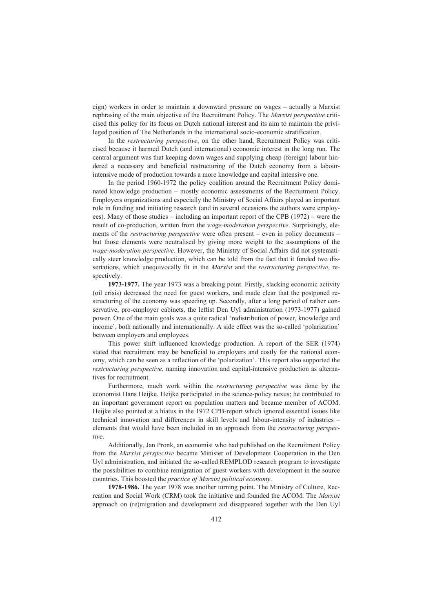eign) workers in order to maintain a downward pressure on wages – actually a Marxist rephrasing of the main objective of the Recruitment Policy. The *Marxist perspective* criticised this policy for its focus on Dutch national interest and its aim to maintain the privileged position of The Netherlands in the international socio-economic stratification.

In the *restructuring perspective*, on the other hand, Recruitment Policy was criticised because it harmed Dutch (and international) economic interest in the long run. The central argument was that keeping down wages and supplying cheap (foreign) labour hindered a necessary and beneficial restructuring of the Dutch economy from a labourintensive mode of production towards a more knowledge and capital intensive one.

In the period 1960-1972 the policy coalition around the Recruitment Policy dominated knowledge production – mostly economic assessments of the Recruitment Policy. Employers organizations and especially the Ministry of Social Affairs played an important role in funding and initiating research (and in several occasions the authors were employees). Many of those studies – including an important report of the CPB (1972) – were the result of co-production, written from the *wage-moderation perspective*. Surprisingly, elements of the *restructuring perspective* were often present – even in policy documents – but those elements were neutralised by giving more weight to the assumptions of the *wage-moderation perspective*. However, the Ministry of Social Affairs did not systematically steer knowledge production, which can be told from the fact that it funded two dissertations, which unequivocally fit in the *Marxist* and the *restructuring perspective*, respectively.

**1973-1977.** The year 1973 was a breaking point. Firstly, slacking economic activity (oil crisis) decreased the need for guest workers, and made clear that the postponed restructuring of the economy was speeding up. Secondly, after a long period of rather conservative, pro-employer cabinets, the leftist Den Uyl administration (1973-1977) gained power. One of the main goals was a quite radical 'redistribution of power, knowledge and income', both nationally and internationally. A side effect was the so-called 'polarization' between employers and employees.

This power shift influenced knowledge production. A report of the SER (1974) stated that recruitment may be beneficial to employers and costly for the national economy, which can be seen as a reflection of the 'polarization'. This report also supported the *restructuring perspective*, naming innovation and capital-intensive production as alternatives for recruitment.

Furthermore, much work within the *restructuring perspective* was done by the economist Hans Heijke. Heijke participated in the science-policy nexus; he contributed to an important government report on population matters and became member of ACOM. Heijke also pointed at a hiatus in the 1972 CPB-report which ignored essential issues like technical innovation and differences in skill levels and labour-intensity of industries – elements that would have been included in an approach from the *restructuring perspective*.

Additionally, Jan Pronk, an economist who had published on the Recruitment Policy from the *Marxist perspective* became Minister of Development Cooperation in the Den Uyl administration, and initiated the so-called REMPLOD research program to investigate the possibilities to combine remigration of guest workers with development in the source countries. This boosted the *practice of Marxist political economy*.

**1978-1986.** The year 1978 was another turning point. The Ministry of Culture, Recreation and Social Work (CRM) took the initiative and founded the ACOM. The *Marxist*  approach on (re)migration and development aid disappeared together with the Den Uyl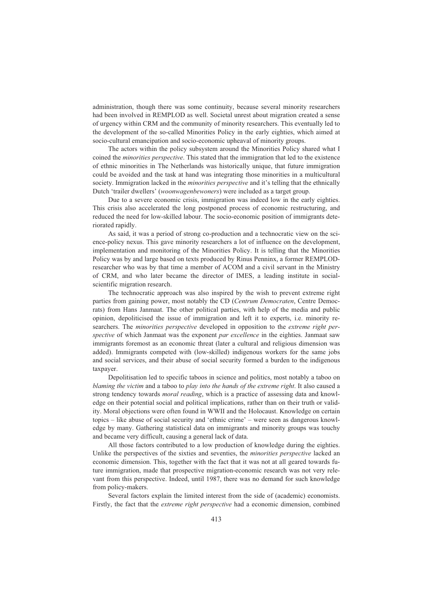administration, though there was some continuity, because several minority researchers had been involved in REMPLOD as well. Societal unrest about migration created a sense of urgency within CRM and the community of minority researchers. This eventually led to the development of the so-called Minorities Policy in the early eighties, which aimed at socio-cultural emancipation and socio-economic upheaval of minority groups.

The actors within the policy subsystem around the Minorities Policy shared what I coined the *minorities perspective*. This stated that the immigration that led to the existence of ethnic minorities in The Netherlands was historically unique, that future immigration could be avoided and the task at hand was integrating those minorities in a multicultural society. Immigration lacked in the *minorities perspective* and it's telling that the ethnically Dutch 'trailer dwellers' (*woonwagenbewoners*) were included as a target group.

Due to a severe economic crisis, immigration was indeed low in the early eighties. This crisis also accelerated the long postponed process of economic restructuring, and reduced the need for low-skilled labour. The socio-economic position of immigrants deteriorated rapidly.

As said, it was a period of strong co-production and a technocratic view on the science-policy nexus. This gave minority researchers a lot of influence on the development, implementation and monitoring of the Minorities Policy. It is telling that the Minorities Policy was by and large based on texts produced by Rinus Penninx, a former REMPLODresearcher who was by that time a member of ACOM and a civil servant in the Ministry of CRM, and who later became the director of IMES, a leading institute in socialscientific migration research.

The technocratic approach was also inspired by the wish to prevent extreme right parties from gaining power, most notably the CD (*Centrum Democraten*, Centre Democrats) from Hans Janmaat. The other political parties, with help of the media and public opinion, depoliticised the issue of immigration and left it to experts, i.e. minority researchers. The *minorities perspective* developed in opposition to the *extreme right perspective* of which Janmaat was the exponent *par excellence* in the eighties. Janmaat saw immigrants foremost as an economic threat (later a cultural and religious dimension was added). Immigrants competed with (low-skilled) indigenous workers for the same jobs and social services, and their abuse of social security formed a burden to the indigenous taxpayer.

Depolitisation led to specific taboos in science and politics, most notably a taboo on *blaming the victim* and a taboo to *play into the hands of the extreme right*. It also caused a strong tendency towards *moral reading*, which is a practice of assessing data and knowledge on their potential social and political implications, rather than on their truth or validity. Moral objections were often found in WWII and the Holocaust. Knowledge on certain topics – like abuse of social security and 'ethnic crime' – were seen as dangerous knowledge by many. Gathering statistical data on immigrants and minority groups was touchy and became very difficult, causing a general lack of data.

All those factors contributed to a low production of knowledge during the eighties. Unlike the perspectives of the sixties and seventies, the *minorities perspective* lacked an economic dimension. This, together with the fact that it was not at all geared towards future immigration, made that prospective migration-economic research was not very relevant from this perspective. Indeed, until 1987, there was no demand for such knowledge from policy-makers.

Several factors explain the limited interest from the side of (academic) economists. Firstly, the fact that the *extreme right perspective* had a economic dimension, combined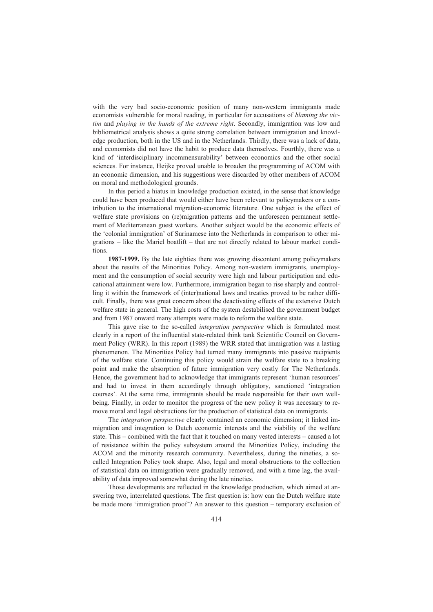with the very bad socio-economic position of many non-western immigrants made economists vulnerable for moral reading, in particular for accusations of *blaming the victim* and *playing in the hands of the extreme right*. Secondly, immigration was low and bibliometrical analysis shows a quite strong correlation between immigration and knowledge production, both in the US and in the Netherlands. Thirdly, there was a lack of data, and economists did not have the habit to produce data themselves. Fourthly, there was a kind of 'interdisciplinary incommensurability' between economics and the other social sciences. For instance, Heijke proved unable to broaden the programming of ACOM with an economic dimension, and his suggestions were discarded by other members of ACOM on moral and methodological grounds.

In this period a hiatus in knowledge production existed, in the sense that knowledge could have been produced that would either have been relevant to policymakers or a contribution to the international migration-economic literature. One subject is the effect of welfare state provisions on (re)migration patterns and the unforeseen permanent settlement of Mediterranean guest workers. Another subject would be the economic effects of the 'colonial immigration' of Surinamese into the Netherlands in comparison to other migrations – like the Mariel boatlift – that are not directly related to labour market conditions.

**1987-1999.** By the late eighties there was growing discontent among policymakers about the results of the Minorities Policy. Among non-western immigrants, unemployment and the consumption of social security were high and labour participation and educational attainment were low. Furthermore, immigration began to rise sharply and controlling it within the framework of (inter)national laws and treaties proved to be rather difficult. Finally, there was great concern about the deactivating effects of the extensive Dutch welfare state in general. The high costs of the system destabilised the government budget and from 1987 onward many attempts were made to reform the welfare state.

This gave rise to the so-called *integration perspective* which is formulated most clearly in a report of the influential state-related think tank Scientific Council on Government Policy (WRR). In this report (1989) the WRR stated that immigration was a lasting phenomenon. The Minorities Policy had turned many immigrants into passive recipients of the welfare state. Continuing this policy would strain the welfare state to a breaking point and make the absorption of future immigration very costly for The Netherlands. Hence, the government had to acknowledge that immigrants represent 'human resources' and had to invest in them accordingly through obligatory, sanctioned 'integration courses'. At the same time, immigrants should be made responsible for their own wellbeing. Finally, in order to monitor the progress of the new policy it was necessary to remove moral and legal obstructions for the production of statistical data on immigrants.

The *integration perspective* clearly contained an economic dimension; it linked immigration and integration to Dutch economic interests and the viability of the welfare state. This – combined with the fact that it touched on many vested interests – caused a lot of resistance within the policy subsystem around the Minorities Policy, including the ACOM and the minority research community. Nevertheless, during the nineties, a socalled Integration Policy took shape. Also, legal and moral obstructions to the collection of statistical data on immigration were gradually removed, and with a time lag, the availability of data improved somewhat during the late nineties.

Those developments are reflected in the knowledge production, which aimed at answering two, interrelated questions. The first question is: how can the Dutch welfare state be made more 'immigration proof'? An answer to this question – temporary exclusion of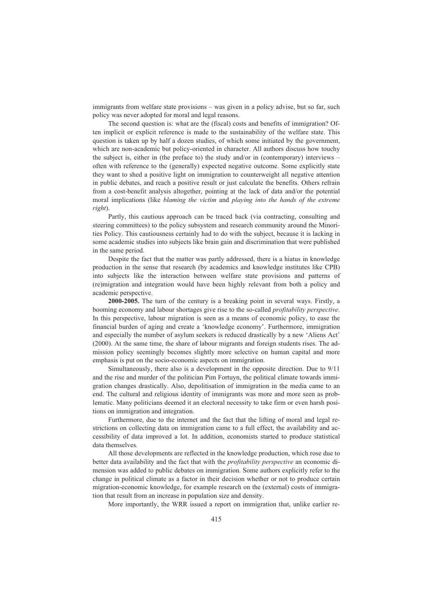immigrants from welfare state provisions – was given in a policy advise, but so far, such policy was never adopted for moral and legal reasons.

The second question is: what are the (fiscal) costs and benefits of immigration? Often implicit or explicit reference is made to the sustainability of the welfare state. This question is taken up by half a dozen studies, of which some initiated by the government, which are non-academic but policy-oriented in character. All authors discuss how touchy the subject is, either in (the preface to) the study and/or in (contemporary) interviews – often with reference to the (generally) expected negative outcome. Some explicitly state they want to shed a positive light on immigration to counterweight all negative attention in public debates, and reach a positive result or just calculate the benefits. Others refrain from a cost-benefit analysis altogether, pointing at the lack of data and/or the potential moral implications (like *blaming the victim* and *playing into the hands of the extreme right*).

Partly, this cautious approach can be traced back (via contracting, consulting and steering committees) to the policy subsystem and research community around the Minorities Policy. This cautiousness certainly had to do with the subject, because it is lacking in some academic studies into subjects like brain gain and discrimination that were published in the same period.

Despite the fact that the matter was partly addressed, there is a hiatus in knowledge production in the sense that research (by academics and knowledge institutes like CPB) into subjects like the interaction between welfare state provisions and patterns of (re)migration and integration would have been highly relevant from both a policy and academic perspective.

**2000-2005.** The turn of the century is a breaking point in several ways. Firstly, a booming economy and labour shortages give rise to the so-called *profitability perspective*. In this perspective, labour migration is seen as a means of economic policy, to ease the financial burden of aging and create a 'knowledge economy'. Furthermore, immigration and especially the number of asylum seekers is reduced drastically by a new 'Aliens Act' (2000). At the same time, the share of labour migrants and foreign students rises. The admission policy seemingly becomes slightly more selective on human capital and more emphasis is put on the socio-economic aspects on immigration.

Simultaneously, there also is a development in the opposite direction. Due to 9/11 and the rise and murder of the politician Pim Fortuyn, the political climate towards immigration changes drastically. Also, depolitisation of immigration in the media came to an end. The cultural and religious identity of immigrants was more and more seen as problematic. Many politicians deemed it an electoral necessity to take firm or even harsh positions on immigration and integration.

Furthermore, due to the internet and the fact that the lifting of moral and legal restrictions on collecting data on immigration came to a full effect, the availability and accessibility of data improved a lot. In addition, economists started to produce statistical data themselves.

All those developments are reflected in the knowledge production, which rose due to better data availability and the fact that with the *profitability perspective* an economic dimension was added to public debates on immigration. Some authors explicitly refer to the change in political climate as a factor in their decision whether or not to produce certain migration-economic knowledge, for example research on the (external) costs of immigration that result from an increase in population size and density.

More importantly, the WRR issued a report on immigration that, unlike earlier re-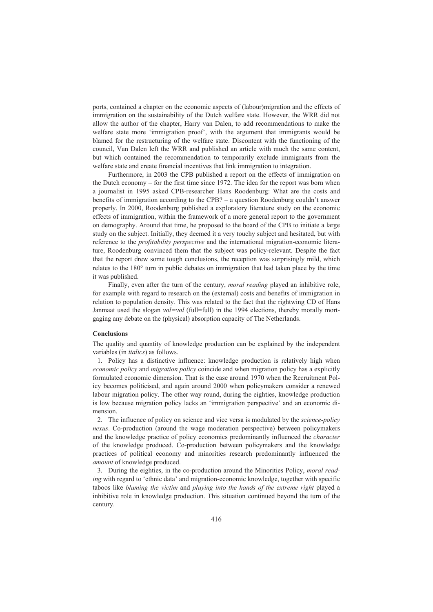ports, contained a chapter on the economic aspects of (labour)migration and the effects of immigration on the sustainability of the Dutch welfare state. However, the WRR did not allow the author of the chapter, Harry van Dalen, to add recommendations to make the welfare state more 'immigration proof', with the argument that immigrants would be blamed for the restructuring of the welfare state. Discontent with the functioning of the council, Van Dalen left the WRR and published an article with much the same content, but which contained the recommendation to temporarily exclude immigrants from the welfare state and create financial incentives that link immigration to integration.

Furthermore, in 2003 the CPB published a report on the effects of immigration on the Dutch economy – for the first time since 1972. The idea for the report was born when a journalist in 1995 asked CPB-researcher Hans Roodenburg: What are the costs and benefits of immigration according to the CPB? – a question Roodenburg couldn't answer properly. In 2000, Roodenburg published a exploratory literature study on the economic effects of immigration, within the framework of a more general report to the government on demography. Around that time, he proposed to the board of the CPB to initiate a large study on the subject. Initially, they deemed it a very touchy subject and hesitated, but with reference to the *profitability perspective* and the international migration-economic literature, Roodenburg convinced them that the subject was policy-relevant. Despite the fact that the report drew some tough conclusions, the reception was surprisingly mild, which relates to the  $180^\circ$  turn in public debates on immigration that had taken place by the time it was published.

Finally, even after the turn of the century, *moral reading* played an inhibitive role, for example with regard to research on the (external) costs and benefits of immigration in relation to population density. This was related to the fact that the rightwing CD of Hans Janmaat used the slogan *vol=vol* (full=full) in the 1994 elections, thereby morally mortgaging any debate on the (physical) absorption capacity of The Netherlands.

#### **Conclusions**

The quality and quantity of knowledge production can be explained by the independent variables (in *italics*) as follows.

 1. Policy has a distinctive influence: knowledge production is relatively high when *economic policy* and *migration policy* coincide and when migration policy has a explicitly formulated economic dimension. That is the case around 1970 when the Recruitment Policy becomes politicised, and again around 2000 when policymakers consider a renewed labour migration policy. The other way round, during the eighties, knowledge production is low because migration policy lacks an 'immigration perspective' and an economic dimension.

 2. The influence of policy on science and vice versa is modulated by the *science-policy nexus*. Co-production (around the wage moderation perspective) between policymakers and the knowledge practice of policy economics predominantly influenced the *character*  of the knowledge produced. Co-production between policymakers and the knowledge practices of political economy and minorities research predominantly influenced the *amount* of knowledge produced.

 3. During the eighties, in the co-production around the Minorities Policy, *moral reading* with regard to 'ethnic data' and migration-economic knowledge, together with specific taboos like *blaming the victim* and *playing into the hands of the extreme right* played a inhibitive role in knowledge production. This situation continued beyond the turn of the century.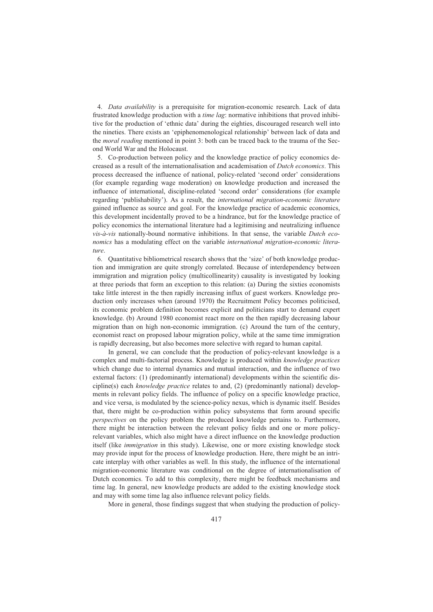4. *Data availability* is a prerequisite for migration-economic research. Lack of data frustrated knowledge production with a *time lag*: normative inhibitions that proved inhibitive for the production of 'ethnic data' during the eighties, discouraged research well into the nineties. There exists an 'epiphenomenological relationship' between lack of data and the *moral reading* mentioned in point 3: both can be traced back to the trauma of the Second World War and the Holocaust.

 5. Co-production between policy and the knowledge practice of policy economics decreased as a result of the internationalisation and academisation of *Dutch economics*. This process decreased the influence of national, policy-related 'second order' considerations (for example regarding wage moderation) on knowledge production and increased the influence of international, discipline-related 'second order' considerations (for example regarding 'publishability'). As a result, the *international migration-economic literature*  gained influence as source and goal. For the knowledge practice of academic economics, this development incidentally proved to be a hindrance, but for the knowledge practice of policy economics the international literature had a legitimising and neutralizing influence *vis-à-vis* nationally-bound normative inhibitions. In that sense, the variable *Dutch economics* has a modulating effect on the variable *international migration-economic literature*.

 6. Quantitative bibliometrical research shows that the 'size' of both knowledge production and immigration are quite strongly correlated. Because of interdependency between immigration and migration policy (multicollinearity) causality is investigated by looking at three periods that form an exception to this relation: (a) During the sixties economists take little interest in the then rapidly increasing influx of guest workers. Knowledge production only increases when (around 1970) the Recruitment Policy becomes politicised, its economic problem definition becomes explicit and politicians start to demand expert knowledge. (b) Around 1980 economist react more on the then rapidly decreasing labour migration than on high non-economic immigration. (c) Around the turn of the century, economist react on proposed labour migration policy, while at the same time immigration is rapidly decreasing, but also becomes more selective with regard to human capital.

In general, we can conclude that the production of policy-relevant knowledge is a complex and multi-factorial process. Knowledge is produced within *knowledge practices* which change due to internal dynamics and mutual interaction, and the influence of two external factors: (1) (predominantly international) developments within the scientific discipline(s) each *knowledge practice* relates to and, (2) (predominantly national) developments in relevant policy fields. The influence of policy on a specific knowledge practice, and vice versa, is modulated by the science-policy nexus, which is dynamic itself. Besides that, there might be co-production within policy subsystems that form around specific *perspectives* on the policy problem the produced knowledge pertains to. Furthermore, there might be interaction between the relevant policy fields and one or more policyrelevant variables, which also might have a direct influence on the knowledge production itself (like *immigration* in this study). Likewise, one or more existing knowledge stock may provide input for the process of knowledge production. Here, there might be an intricate interplay with other variables as well. In this study, the influence of the international migration-economic literature was conditional on the degree of internationalisation of Dutch economics. To add to this complexity, there might be feedback mechanisms and time lag. In general, new knowledge products are added to the existing knowledge stock and may with some time lag also influence relevant policy fields.

More in general, those findings suggest that when studying the production of policy-